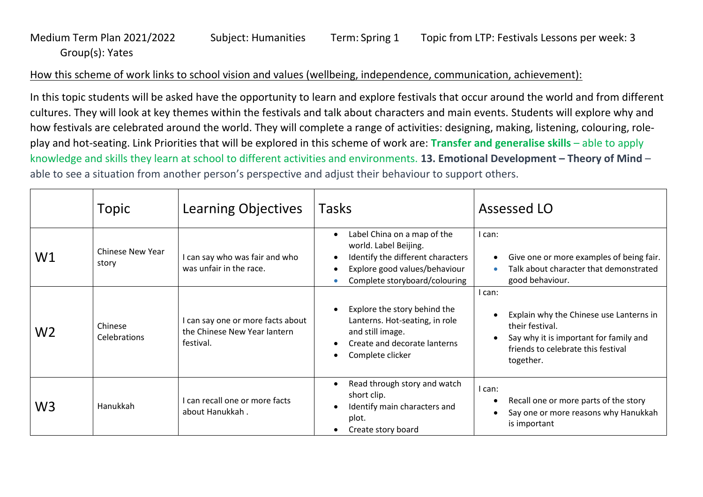## Medium Term Plan 2021/2022 Subject: Humanities Term: Spring 1 Topic from LTP: Festivals Lessons per week: 3 Group(s): Yates

## How this scheme of work links to school vision and values (wellbeing, independence, communication, achievement):

In this topic students will be asked have the opportunity to learn and explore festivals that occur around the world and from different cultures. They will look at key themes within the festivals and talk about characters and main events. Students will explore why and how festivals are celebrated around the world. They will complete a range of activities: designing, making, listening, colouring, roleplay and hot-seating. Link Priorities that will be explored in this scheme of work are: **Transfer and generalise skills** – able to apply knowledge and skills they learn at school to different activities and environments. **13. Emotional Development – Theory of Mind** – able to see a situation from another person's perspective and adjust their behaviour to support others.

|                | Topic                            | Learning Objectives                                                            | <b>Tasks</b>                                                                                                                                                | Assessed LO                                                                                                                                                                    |
|----------------|----------------------------------|--------------------------------------------------------------------------------|-------------------------------------------------------------------------------------------------------------------------------------------------------------|--------------------------------------------------------------------------------------------------------------------------------------------------------------------------------|
| W1             | <b>Chinese New Year</b><br>story | I can say who was fair and who<br>was unfair in the race.                      | Label China on a map of the<br>world. Label Beijing.<br>Identify the different characters<br>Explore good values/behaviour<br>Complete storyboard/colouring | I can:<br>Give one or more examples of being fair.<br>$\bullet$<br>Talk about character that demonstrated<br>good behaviour.                                                   |
| W <sub>2</sub> | Chinese<br><b>Celebrations</b>   | I can say one or more facts about<br>the Chinese New Year lantern<br>festival. | Explore the story behind the<br>Lanterns. Hot-seating, in role<br>and still image.<br>Create and decorate lanterns<br>Complete clicker                      | I can:<br>Explain why the Chinese use Lanterns in<br>their festival.<br>Say why it is important for family and<br>$\bullet$<br>friends to celebrate this festival<br>together. |
| W <sub>3</sub> | Hanukkah                         | I can recall one or more facts<br>about Hanukkah.                              | Read through story and watch<br>short clip.<br>Identify main characters and<br>plot.<br>Create story board                                                  | I can:<br>Recall one or more parts of the story<br>$\bullet$<br>Say one or more reasons why Hanukkah<br>$\bullet$<br>is important                                              |